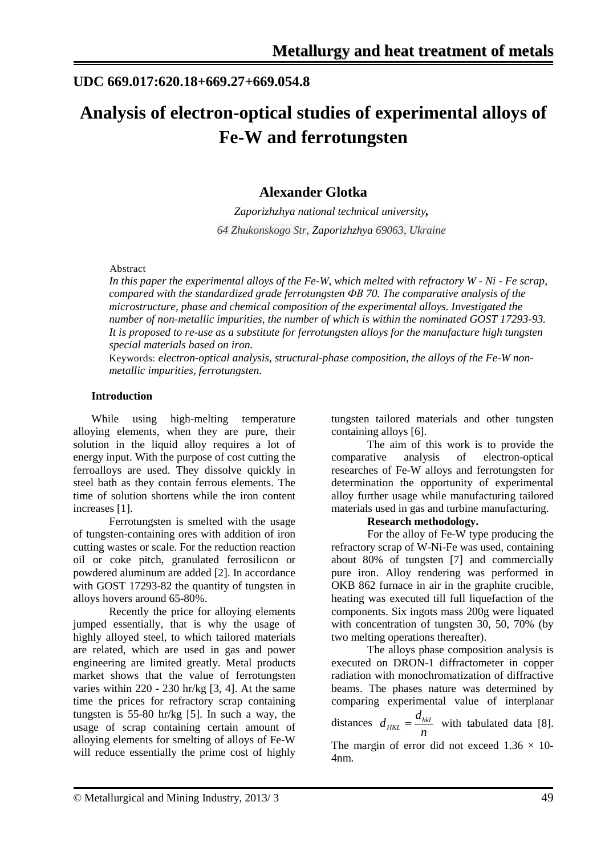## **UDC 669.017:620.18+669.27+669.054.8**

# **Analysis of electron-optical studies of experimental alloys of Fe-W and ferrotungsten**

### **Alexander Glotka**

*Zaporizhzhya national technical university, 64 Zhukonskogo Str, Zaporizhzhya 69063, Ukraine*

#### Abstract

*In this paper the experimental alloys of the Fe-W, which melted with refractory W - Ni - Fe scrap, compared with the standardized grade ferrotungsten ФВ 70. The comparative analysis of the microstructure, phase and chemical composition of the experimental alloys. Investigated the number of non-metallic impurities, the number of which is within the nominated GOST 17293-93. It is proposed to re-use as a substitute for ferrotungsten alloys for the manufacture high tungsten special materials based on iron.*

Keywords: *electron-optical analysis, structural-phase composition, the alloys of the Fe-W nonmetallic impurities, ferrotungsten.*

#### **Introduction**

While using high-melting temperature alloying elements, when they are pure, their solution in the liquid alloy requires a lot of energy input. With the purpose of cost cutting the ferroalloys are used. They dissolve quickly in steel bath as they contain ferrous elements. The time of solution shortens while the iron content increases [1].

Ferrotungsten is smelted with the usage of tungsten-containing ores with addition of iron cutting wastes or scale. For the reduction reaction oil or coke pitch, granulated ferrosilicon or powdered aluminum are added [2]. In accordance with GOST 17293-82 the quantity of tungsten in alloys hovers around 65-80%.

Recently the price for alloying elements jumped essentially, that is why the usage of highly alloyed steel, to which tailored materials are related, which are used in gas and power engineering are limited greatly. Metal products market shows that the value of ferrotungsten varies within 220 - 230 hr/kg [3, 4]. At the same time the prices for refractory scrap containing tungsten is 55-80 hr/kg [5]. In such a way, the usage of scrap containing certain amount of alloying elements for smelting of alloys of Fe-W will reduce essentially the prime cost of highly

tungsten tailored materials and other tungsten containing alloys [6].

The aim of this work is to provide the comparative analysis of electron-optical researches of Fe-W alloys and ferrotungsten for determination the opportunity of experimental alloy further usage while manufacturing tailored materials used in gas and turbine manufacturing.

#### **Research methodology.**

For the alloy of Fe-W type producing the refractory scrap of W-Ni-Fe was used, containing about 80% of tungsten [7] and commercially pure iron. Alloy rendering was performed in OKB 862 furnace in air in the graphite crucible, heating was executed till full liquefaction of the components. Six ingots mass 200g were liquated with concentration of tungsten 30, 50, 70% (by two melting operations thereafter).

The alloys phase composition analysis is executed on DRON-1 diffractometer in copper radiation with monochromatization of diffractive beams. The phases nature was determined by comparing experimental value of interplanar

distances *n*  $d_{HKL} = \frac{d_{hkl}}{dt}$  with tabulated data [8]. The margin of error did not exceed  $1.36 \times 10$ -4nm.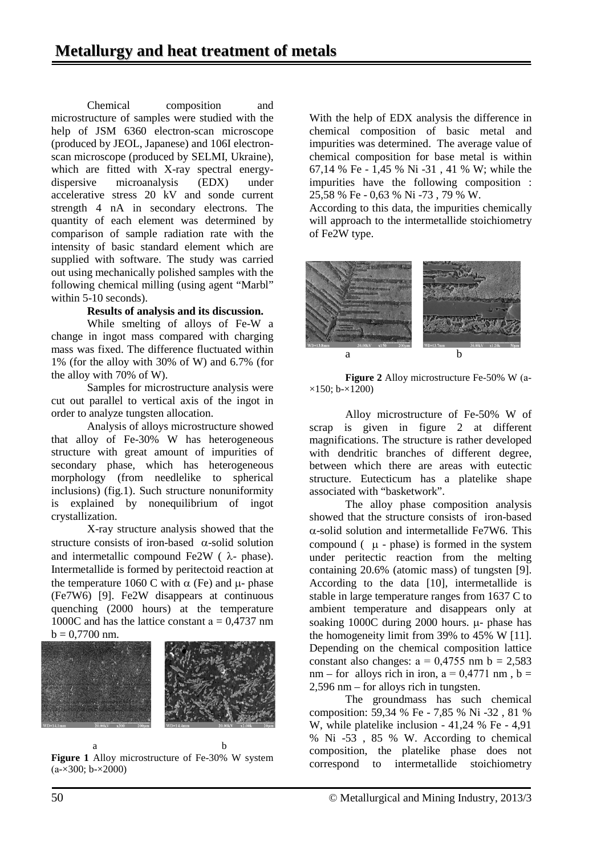Chemical composition and microstructure of samples were studied with the help of JSM 6360 electron-scan microscope (produced by JEOL, Japanese) and 106I electronscan microscope (produced by SELMI, Ukraine), which are fitted with X-ray spectral energydispersive microanalysis (EDX) under accelerative stress 20 kV and sonde current strength 4 nA in secondary electrons. The quantity of each element was determined by comparison of sample radiation rate with the intensity of basic standard element which are supplied with software. The study was carried out using mechanically polished samples with the following chemical milling (using agent "Marbl" within 5-10 seconds).

#### **Results of analysis and its discussion.**

While smelting of alloys of Fe-W a change in ingot mass compared with charging mass was fixed. The difference fluctuated within 1% (for the alloy with 30% of W) and 6.7% (for the alloy with 70% of W).

Samples for microstructure analysis were cut out parallel to vertical axis of the ingot in order to analyze tungsten allocation.

Analysis of alloys microstructure showed that alloy of Fe-30% W has heterogeneous structure with great amount of impurities of secondary phase, which has heterogeneous morphology (from needlelike to spherical inclusions) (fig.1). Such structure nonuniformity is explained by nonequilibrium of ingot crystallization.

X-ray structure analysis showed that the structure consists of iron-based  $\alpha$ -solid solution and intermetallic compound Fe2W ( $\lambda$ - phase). Intermetallide is formed by peritectoid reaction at the temperature 1060 C with  $\alpha$  (Fe) and  $\mu$ - phase (Fe7W6) [9]. Fe2W disappears at continuous quenching (2000 hours) at the temperature 1000C and has the lattice constant  $a = 0.4737$  nm  $b = 0,7700$  nm.



 a b **Figure 1** Alloy microstructure of Fe-30% W system  $(a-x300; b-x2000)$ 

With the help of EDX analysis the difference in chemical composition of basic metal and impurities was determined. The average value of chemical composition for base metal is within 67,14 % Fe - 1,45 % Ni -31 , 41 % W; while the impurities have the following composition : 25,58 % Fe - 0,63 % Ni -73 , 79 % W.

According to this data, the impurities chemically will approach to the intermetallide stoichiometry of Fe2W type.



**Figure 2** Alloy microstructure Fe-50% W (а-  $\times$ 150; b- $\times$ 1200)

Alloy microstructure of Fe-50% W of scrap is given in figure 2 at different magnifications. The structure is rather developed with dendritic branches of different degree, between which there are areas with eutectic structure. Eutecticum has a platelike shape associated with "basketwork".

The alloy phase composition analysis showed that the structure consists of iron-based  $\alpha$ -solid solution and intermetallide Fe7W6. This compound  $(\mu - \text{phase})$  is formed in the system under peritectic reaction from the melting containing 20.6% (atomic mass) of tungsten [9]. According to the data [10], intermetallide is stable in large temperature ranges from 1637 C to ambient temperature and disappears only at soaking 1000C during 2000 hours. µ- phase has the homogeneity limit from 39% to 45% W [11]. Depending on the chemical composition lattice constant also changes:  $a = 0.4755$  nm  $b = 2.583$ nm – for alloys rich in iron,  $a = 0.4771$  nm,  $b =$ 2,596 nm – for alloys rich in tungsten.

The groundmass has such chemical composition: 59,34 % Fe - 7,85 % Ni -32 , 81 % W, while platelike inclusion - 41,24 % Fe - 4,91 % Ni -53 , 85 % W. According to chemical composition, the platelike phase does not correspond to intermetallide stoichiometry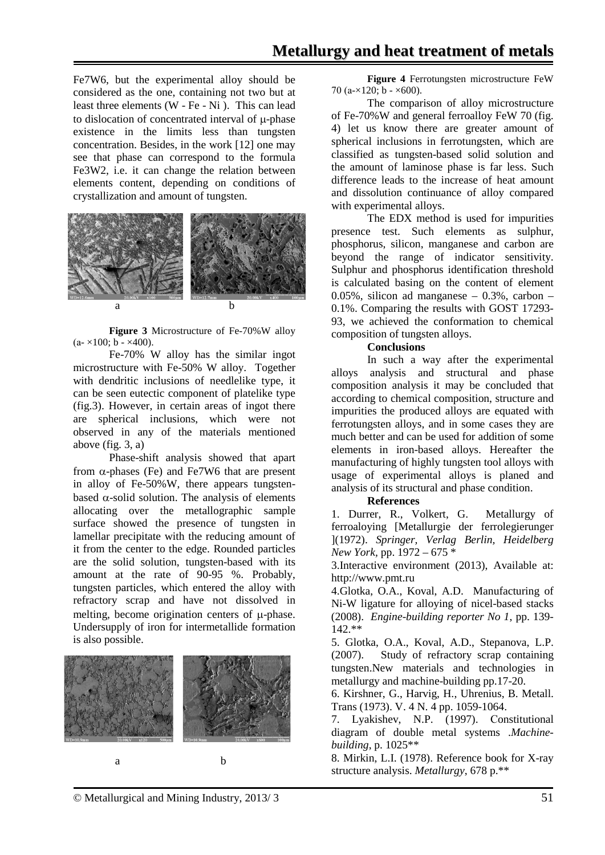Fe7W6, but the experimental alloy should be considered as the one, containing not two but at least three elements (W - Fe - Ni ). This can lead to dislocation of concentrated interval of µ-phase existence in the limits less than tungsten concentration. Besides, in the work [12] one may see that phase can correspond to the formula Fe3W2, i.e. it can change the relation between elements content, depending on conditions of crystallization and amount of tungsten.



**Figure 3** Microstructure of Fe-70%W alloy  $(a-x100; b - x400).$ 

Fe-70% W alloy has the similar ingot microstructure with Fe-50% W alloy. Together with dendritic inclusions of needlelike type, it can be seen eutectic component of platelike type (fig.3). However, in certain areas of ingot there are spherical inclusions, which were not observed in any of the materials mentioned above (fig. 3, a)

Phase-shift analysis showed that apart from  $\alpha$ -phases (Fe) and Fe7W6 that are present in alloy of Fe-50%W, there appears tungstenbased  $\alpha$ -solid solution. The analysis of elements allocating over the metallographic sample surface showed the presence of tungsten in lamellar precipitate with the reducing amount of it from the center to the edge. Rounded particles are the solid solution, tungsten-based with its amount at the rate of 90-95 %. Probably, tungsten particles, which entered the alloy with refractory scrap and have not dissolved in melting, become origination centers of µ-phase. Undersupply of iron for intermetallide formation is also possible.



**Figure 4** Ferrotungsten microstructure FeW 70 ( $a\approx 120$ ;  $b - \times 600$ ).

The comparison of alloy microstructure of Fe-70%W and general ferroalloy FeW 70 (fig. 4) let us know there are greater amount of spherical inclusions in ferrotungsten, which are classified as tungsten-based solid solution and the amount of laminose phase is far less. Such difference leads to the increase of heat amount and dissolution continuance of alloy compared with experimental alloys.

The EDX method is used for impurities presence test. Such elements as sulphur, phosphorus, silicon, manganese and carbon are beyond the range of indicator sensitivity. Sulphur and phosphorus identification threshold is calculated basing on the content of element 0.05%, silicon ad manganese – 0.3%, carbon – 0.1%. Comparing the results with GOST 17293- 93, we achieved the conformation to chemical composition of tungsten alloys.

#### **Conclusions**

In such a way after the experimental alloys analysis and structural and phase composition analysis it may be concluded that according to chemical composition, structure and impurities the produced alloys are equated with ferrotungsten alloys, and in some cases they are much better and can be used for addition of some elements in iron-based alloys. Hereafter the manufacturing of highly tungsten tool alloys with usage of experimental alloys is planed and analysis of its structural and phase condition.

#### **References**

1. Durrer, R., Volkert, G. Metallurgy of ferroaloying [Metallurgie der ferrolegierunger ](1972). *Springer, Verlag Berlin, Heidelberg New York,* pp. 1972 – 675 \*

3.Interactive environment (2013), Available at: http://www.pmt.ru

4.Glotka, O.A., Koval, A.D. Manufacturing of Ni-W ligature for alloying of nicel-based stacks (2008). *Engine-building reporter No 1*, pp. 139- 142.\*\*

5. Glotka, O.A., Koval, A.D., Stepanova, L.P. (2007). Study of refractory scrap containing tungsten.New materials and technologies in metallurgy and machine-building pp.17-20.

6. Kirshner, G., Harvig, H., Uhrenius, B. Metall. Trans (1973). V. 4 N. 4 pp. 1059-1064.

7. Lyakishev, N.P. (1997). Сonstitutional diagram of double metal systems .*Machinebuilding*, p. 1025\*\*

8. Mirkin, L.I. (1978). Reference book for X-ray structure analysis. *Metallurgy*, 678 p.\*\*